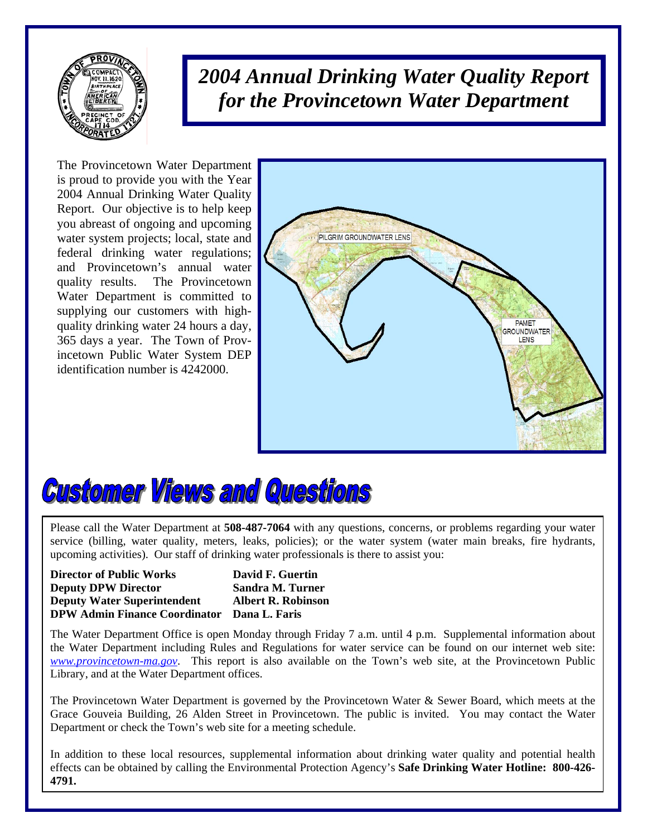

*2004 Annual Drinking Water Quality Report for the Provincetown Water Department*

The Provincetown Water Department is proud to provide you with the Year 2004 Annual Drinking Water Quality Report. Our objective is to help keep you abreast of ongoing and upcoming water system projects; local, state and federal drinking water regulations; and Provincetown's annual water quality results. The Provincetown Water Department is committed to supplying our customers with highquality drinking water 24 hours a day, 365 days a year. The Town of Provincetown Public Water System DEP identification number is 4242000.





Please call the Water Department at **508-487-7064** with any questions, concerns, or problems regarding your water service (billing, water quality, meters, leaks, policies); or the water system (water main breaks, fire hydrants, upcoming activities). Our staff of drinking water professionals is there to assist you: upcoming activities). Our staff of drinking water professionals is there to assist you:

**Director of Public Works David F. Guertin Director of Public Works David F. Guertin Deputy DPW Director Sandra M. Turner Deputy DPW Director Sandra M. Turner Deputy Water Superintendent Albert R. Robinson Deputy Water Superintendent Albert R. Robinson DPW Admin Finance Coordinator Dana L. Faris DPW Admin Finance Coordinator Dana L. Faris** 

the Water Department office is open Monday allocated Friday 7 a.m. until 4 p.m. Supplemental information about<br>the Water Department including Rules and Regulations for water service can be found on our internet web site: the Water Department including Rules and Regulations for water service can be found on our internet web site: *[www.provincetown-ma.gov](http://www.provincetowngov.org/)*. This report is also available on the Town's web site, at the Provincetown Public *www.provincetown-margov.* This report is also available on the Town.<br>Library, and at the Water Department offices. The Water Department Office is open Monday through Friday 7 a.m. until 4 p.m. Supplemental information about

The Provincetown Water Department is governed by the Provincetown Water & Sewer Board, which meets at the The Provincetown Water Department is governed by the Provincetown Water & Sewer Board, which meets at the Grace Gouveia Building, 26 Alden Street in Provincetown. The public is invited. You may contact the Water Grace Gouveia Building, 26 Alden Street in Provincetown. The public is invited. You may contact the Water Department or check the Town's web site for a meeting schedule. Department or check the Town's web site for a meeting schedule.

In addition to these local resources, supplemental information about drinking water quality and potential health effects can be obtained by calling the Environmental Protection Agency's **Safe Drinking Water Hotline: 800-426-4791. 4791.**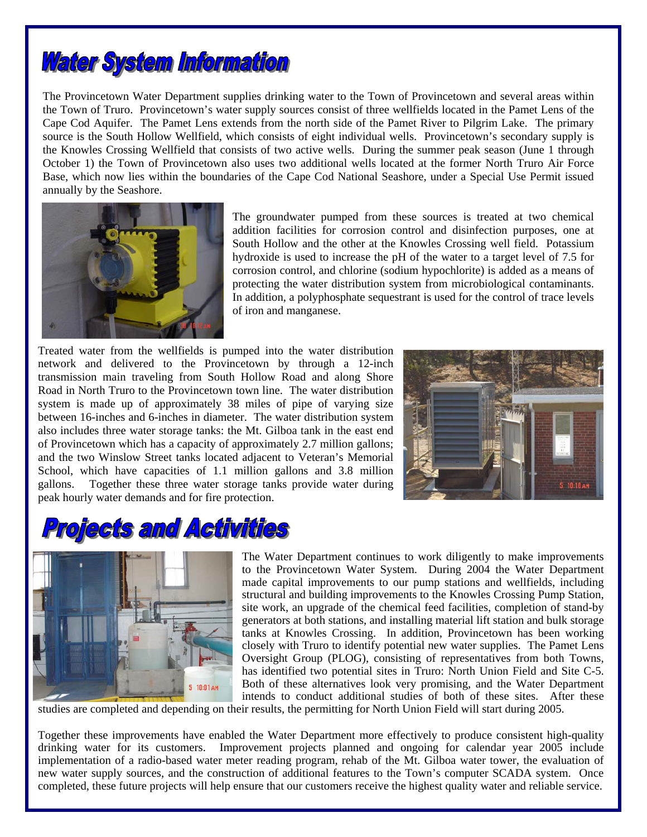

The Provincetown Water Department supplies drinking water to the Town of Provincetown and several areas within the Town of Truro. Provincetown's water supply sources consist of three wellfields located in the Pamet Lens of the Cape Cod Aquifer. The Pamet Lens extends from the north side of the Pamet River to Pilgrim Lake. The primary source is the South Hollow Wellfield, which consists of eight individual wells. Provincetown's secondary supply is the Knowles Crossing Wellfield that consists of two active wells. During the summer peak season (June 1 through October 1) the Town of Provincetown also uses two additional wells located at the former North Truro Air Force Base, which now lies within the boundaries of the Cape Cod National Seashore, under a Special Use Permit issued annually by the Seashore.



The groundwater pumped from these sources is treated at two chemical addition facilities for corrosion control and disinfection purposes, one at South Hollow and the other at the Knowles Crossing well field. Potassium hydroxide is used to increase the pH of the water to a target level of 7.5 for corrosion control, and chlorine (sodium hypochlorite) is added as a means of protecting the water distribution system from microbiological contaminants. In addition, a polyphosphate sequestrant is used for the control of trace levels of iron and manganese.

Treated water from the wellfields is pumped into the water distribution network and delivered to the Provincetown by through a 12-inch transmission main traveling from South Hollow Road and along Shore Road in North Truro to the Provincetown town line. The water distribution system is made up of approximately 38 miles of pipe of varying size between 16-inches and 6-inches in diameter. The water distribution system also includes three water storage tanks: the Mt. Gilboa tank in the east end of Provincetown which has a capacity of approximately 2.7 million gallons; and the two Winslow Street tanks located adjacent to Veteran's Memorial School, which have capacities of 1.1 million gallons and 3.8 million gallons. Together these three water storage tanks provide water during peak hourly water demands and for fire protection.



## **ojects and Activities**



The Water Department continues to work diligently to make improvements to the Provincetown Water System. During 2004 the Water Department made capital improvements to our pump stations and wellfields, including structural and building improvements to the Knowles Crossing Pump Station, site work, an upgrade of the chemical feed facilities, completion of stand-by generators at both stations, and installing material lift station and bulk storage tanks at Knowles Crossing. In addition, Provincetown has been working closely with Truro to identify potential new water supplies. The Pamet Lens Oversight Group (PLOG), consisting of representatives from both Towns, has identified two potential sites in Truro: North Union Field and Site C-5. Both of these alternatives look very promising, and the Water Department intends to conduct additional studies of both of these sites. After these

studies are completed and depending on their results, the permitting for North Union Field will start during 2005.

Together these improvements have enabled the Water Department more effectively to produce consistent high-quality drinking water for its customers. Improvement projects planned and ongoing for calendar year 2005 include implementation of a radio-based water meter reading program, rehab of the Mt. Gilboa water tower, the evaluation of new water supply sources, and the construction of additional features to the Town's computer SCADA system. Once completed, these future projects will help ensure that our customers receive the highest quality water and reliable service.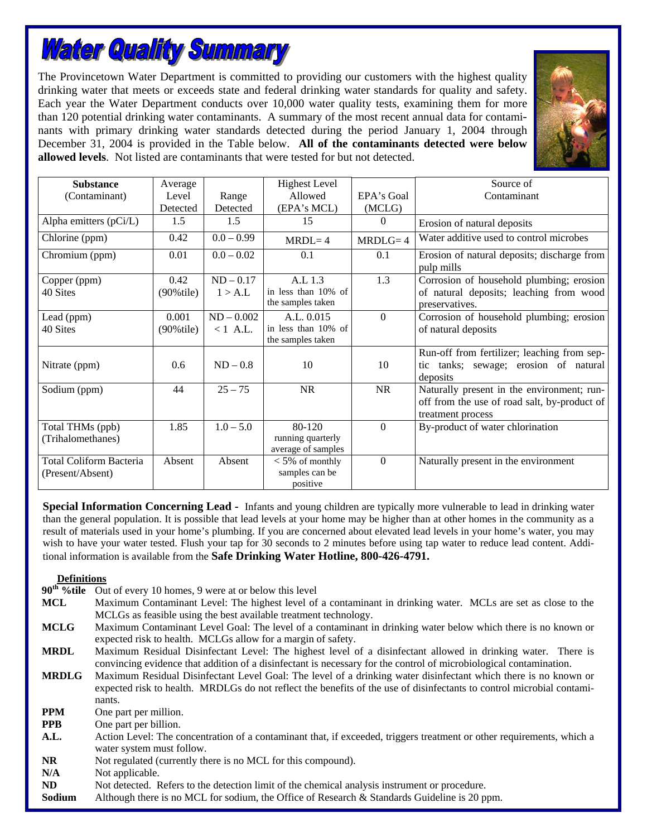# **Water Quality Summary**

The Provincetown Water Department is committed to providing our customers with the highest quality drinking water that meets or exceeds state and federal drinking water standards for quality and safety. Each year the Water Department conducts over 10,000 water quality tests, examining them for more than 120 potential drinking water contaminants. A summary of the most recent annual data for contaminants with primary drinking water standards detected during the period January 1, 2004 through December 31, 2004 is provided in the Table below. **All of the contaminants detected were below allowed levels**. Not listed are contaminants that were tested for but not detected.



| <b>Substance</b>                            | Average                |                            | <b>Highest Level</b>                                   |            | Source of                                                                                                       |
|---------------------------------------------|------------------------|----------------------------|--------------------------------------------------------|------------|-----------------------------------------------------------------------------------------------------------------|
| (Contaminant)                               | Level                  | Range                      | Allowed                                                | EPA's Goal | Contaminant                                                                                                     |
|                                             | Detected               | Detected                   | (EPA's MCL)                                            | (MCLG)     |                                                                                                                 |
| Alpha emitters (pCi/L)                      | 1.5                    | 1.5                        | 15                                                     | $\Omega$   | Erosion of natural deposits                                                                                     |
| Chlorine (ppm)                              | 0.42                   | $0.0 - 0.99$               | $MRDL = 4$                                             | $MRDLG=4$  | Water additive used to control microbes                                                                         |
| Chromium (ppm)                              | 0.01                   | $0.0 - 0.02$               | 0.1                                                    | 0.1        | Erosion of natural deposits; discharge from<br>pulp mills                                                       |
| Copper (ppm)<br>40 Sites                    | 0.42<br>$(90\%$ tile)  | $ND - 0.17$<br>1 > A.L     | A.L 1.3<br>in less than 10% of<br>the samples taken    | 1.3        | Corrosion of household plumbing; erosion<br>of natural deposits; leaching from wood<br>preservatives.           |
| Lead (ppm)<br>40 Sites                      | 0.001<br>$(90\%$ tile) | $ND - 0.002$<br>$< 1$ A.L. | A.L. 0.015<br>in less than 10% of<br>the samples taken | $\Omega$   | Corrosion of household plumbing; erosion<br>of natural deposits                                                 |
| Nitrate (ppm)                               | 0.6                    | $ND-0.8$                   | 10                                                     | 10         | Run-off from fertilizer; leaching from sep-<br>tic tanks; sewage; erosion of natural<br>deposits                |
| Sodium (ppm)                                | 44                     | $25 - 75$                  | <b>NR</b>                                              | <b>NR</b>  | Naturally present in the environment; run-<br>off from the use of road salt, by-product of<br>treatment process |
| Total THMs (ppb)<br>(Trihalomethanes)       | 1.85                   | $1.0 - 5.0$                | 80-120<br>running quarterly<br>average of samples      | $\Omega$   | By-product of water chlorination                                                                                |
| Total Coliform Bacteria<br>(Present/Absent) | Absent                 | Absent                     | $<$ 5% of monthly<br>samples can be<br>positive        | $\Omega$   | Naturally present in the environment                                                                            |

**Special Information Concerning Lead -** Infants and young children are typically more vulnerable to lead in drinking water than the general population. It is possible that lead levels at your home may be higher than at other homes in the community as a result of materials used in your home's plumbing. If you are concerned about elevated lead levels in your home's water, you may wish to have your water tested. Flush your tap for 30 seconds to 2 minutes before using tap water to reduce lead content. Additional information is available from the **Safe Drinking Water Hotline, 800-426-4791.** 

#### **Definitions**

**90<sup>th</sup>**%tile Out of every 10 homes, 9 were at or below this level

- **MCL** Maximum Contaminant Level: The highest level of a contaminant in drinking water. MCLs are set as close to the MCLGs as feasible using the best available treatment technology.
- **MCLG** Maximum Contaminant Level Goal: The level of a contaminant in drinking water below which there is no known or expected risk to health. MCLGs allow for a margin of safety.
- **MRDL** Maximum Residual Disinfectant Level: The highest level of a disinfectant allowed in drinking water. There is convincing evidence that addition of a disinfectant is necessary for the control of microbiological contamination.
- **MRDLG** Maximum Residual Disinfectant Level Goal: The level of a drinking water disinfectant which there is no known or expected risk to health. MRDLGs do not reflect the benefits of the use of disinfectants to control microbial contaminants.
- **PPM** One part per million.
- **PPB** One part per billion.
- A.L. Action Level: The concentration of a contaminant that, if exceeded, triggers treatment or other requirements, which a water system must follow.
- **NR** Not regulated (currently there is no MCL for this compound).
- N/A Not applicable.
- **ND** Not detected. Refers to the detection limit of the chemical analysis instrument or procedure.
- **Sodium** Although there is no MCL for sodium, the Office of Research & Standards Guideline is 20 ppm.